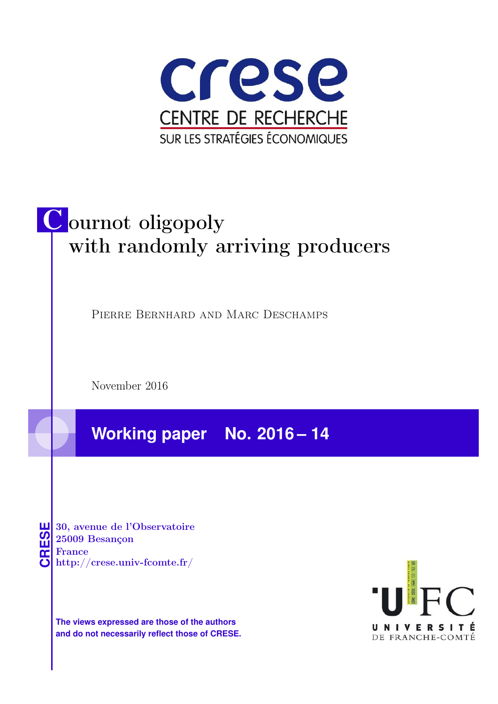

# C ournot oligopoly with randomly arriving producers

Pierre Bernhard and Marc Deschamps

November 2016

**Working paper No. 2016 – 14**

**CRESE 30, avenue de l'Observatoire<br>
25009 Besançon<br>
France<br>
<b>CRESE de l'Observatoire**<br>
Http://crese.univ-fcomte.fr/ 25009 Besançon France

**The views expressed are those of the authors and do not necessarily reflect those of CRESE.**

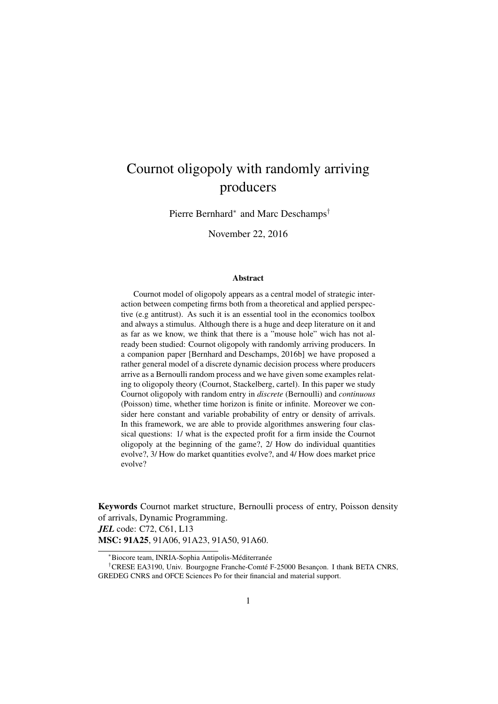# Cournot oligopoly with randomly arriving producers

Pierre Bernhard<sup>∗</sup> and Marc Deschamps<sup>†</sup>

November 22, 2016

#### Abstract

Cournot model of oligopoly appears as a central model of strategic interaction between competing firms both from a theoretical and applied perspective (e.g antitrust). As such it is an essential tool in the economics toolbox and always a stimulus. Although there is a huge and deep literature on it and as far as we know, we think that there is a "mouse hole" wich has not already been studied: Cournot oligopoly with randomly arriving producers. In a companion paper [Bernhard and Deschamps, 2016b] we have proposed a rather general model of a discrete dynamic decision process where producers arrive as a Bernoulli random process and we have given some examples relating to oligopoly theory (Cournot, Stackelberg, cartel). In this paper we study Cournot oligopoly with random entry in *discrete* (Bernoulli) and *continuous* (Poisson) time, whether time horizon is finite or infinite. Moreover we consider here constant and variable probability of entry or density of arrivals. In this framework, we are able to provide algorithmes answering four classical questions: 1/ what is the expected profit for a firm inside the Cournot oligopoly at the beginning of the game?, 2/ How do individual quantities evolve?, 3/ How do market quantities evolve?, and 4/ How does market price evolve?

Keywords Cournot market structure, Bernoulli process of entry, Poisson density of arrivals, Dynamic Programming. *JEL* code: C72, C61, L13 MSC: 91A25, 91A06, 91A23, 91A50, 91A60.

<sup>\*</sup>Biocore team, INRIA-Sophia Antipolis-Méditerranée

<sup>&</sup>lt;sup>†</sup>CRESE EA3190, Univ. Bourgogne Franche-Comté F-25000 Besancon. I thank BETA CNRS, GREDEG CNRS and OFCE Sciences Po for their financial and material support.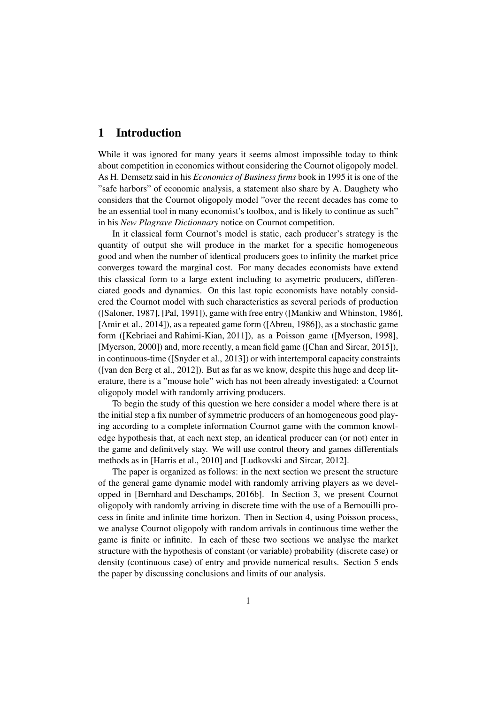# 1 Introduction

While it was ignored for many years it seems almost impossible today to think about competition in economics without considering the Cournot oligopoly model. As H. Demsetz said in his *Economics of Business firms* book in 1995 it is one of the "safe harbors" of economic analysis, a statement also share by A. Daughety who considers that the Cournot oligopoly model "over the recent decades has come to be an essential tool in many economist's toolbox, and is likely to continue as such" in his *New Plagrave Dictionnary* notice on Cournot competition.

In it classical form Cournot's model is static, each producer's strategy is the quantity of output she will produce in the market for a specific homogeneous good and when the number of identical producers goes to infinity the market price converges toward the marginal cost. For many decades economists have extend this classical form to a large extent including to asymetric producers, differenciated goods and dynamics. On this last topic economists have notably considered the Cournot model with such characteristics as several periods of production ([Saloner, 1987], [Pal, 1991]), game with free entry ([Mankiw and Whinston, 1986], [Amir et al., 2014]), as a repeated game form ([Abreu, 1986]), as a stochastic game form ([Kebriaei and Rahimi-Kian, 2011]), as a Poisson game ([Myerson, 1998], [Myerson, 2000]) and, more recently, a mean field game ([Chan and Sircar, 2015]), in continuous-time ([Snyder et al., 2013]) or with intertemporal capacity constraints ([van den Berg et al., 2012]). But as far as we know, despite this huge and deep literature, there is a "mouse hole" wich has not been already investigated: a Cournot oligopoly model with randomly arriving producers.

To begin the study of this question we here consider a model where there is at the initial step a fix number of symmetric producers of an homogeneous good playing according to a complete information Cournot game with the common knowledge hypothesis that, at each next step, an identical producer can (or not) enter in the game and definitvely stay. We will use control theory and games differentials methods as in [Harris et al., 2010] and [Ludkovski and Sircar, 2012].

The paper is organized as follows: in the next section we present the structure of the general game dynamic model with randomly arriving players as we developped in [Bernhard and Deschamps, 2016b]. In Section 3, we present Cournot oligopoly with randomly arriving in discrete time with the use of a Bernouilli process in finite and infinite time horizon. Then in Section 4, using Poisson process, we analyse Cournot oligopoly with random arrivals in continuous time wether the game is finite or infinite. In each of these two sections we analyse the market structure with the hypothesis of constant (or variable) probability (discrete case) or density (continuous case) of entry and provide numerical results. Section 5 ends the paper by discussing conclusions and limits of our analysis.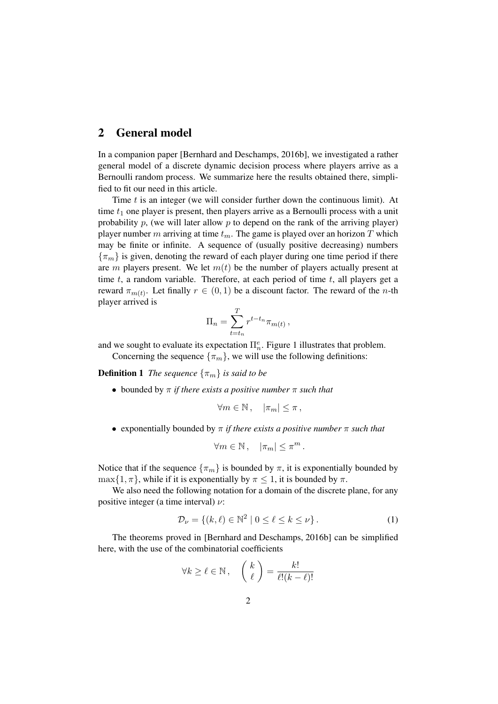# 2 General model

In a companion paper [Bernhard and Deschamps, 2016b], we investigated a rather general model of a discrete dynamic decision process where players arrive as a Bernoulli random process. We summarize here the results obtained there, simplified to fit our need in this article.

Time t is an integer (we will consider further down the continuous limit). At time  $t_1$  one player is present, then players arrive as a Bernoulli process with a unit probability  $p$ , (we will later allow  $p$  to depend on the rank of the arriving player) player number m arriving at time  $t_m$ . The game is played over an horizon T which may be finite or infinite. A sequence of (usually positive decreasing) numbers  ${\lbrace \pi_m \rbrace}$  is given, denoting the reward of each player during one time period if there are m players present. We let  $m(t)$  be the number of players actually present at time  $t$ , a random variable. Therefore, at each period of time  $t$ , all players get a reward  $\pi_{m(t)}$ . Let finally  $r \in (0, 1)$  be a discount factor. The reward of the *n*-th player arrived is

$$
\Pi_n = \sum_{t=t_n}^T r^{t-t_n} \pi_{m(t)},
$$

and we sought to evaluate its expectation  $\prod_{n=1}^e$ . Figure 1 illustrates that problem.

Concerning the sequence  $\{\pi_m\}$ , we will use the following definitions:

**Definition 1** *The sequence*  $\{\pi_m\}$  *is said to be* 

• bounded by π *if there exists a positive number* π *such that*

$$
\forall m \in \mathbb{N}, \quad |\pi_m| \leq \pi \,,
$$

• exponentially bounded by π *if there exists a positive number* π *such that*

$$
\forall m \in \mathbb{N}, \quad |\pi_m| \leq \pi^m.
$$

Notice that if the sequence  $\{\pi_m\}$  is bounded by  $\pi$ , it is exponentially bounded by  $\max\{1,\pi\}$ , while if it is exponentially by  $\pi \leq 1$ , it is bounded by  $\pi$ .

We also need the following notation for a domain of the discrete plane, for any positive integer (a time interval)  $\nu$ :

$$
\mathcal{D}_{\nu} = \{ (k, \ell) \in \mathbb{N}^2 \mid 0 \le \ell \le k \le \nu \}.
$$
 (1)

The theorems proved in [Bernhard and Deschamps, 2016b] can be simplified here, with the use of the combinatorial coefficients

$$
\forall k \ge \ell \in \mathbb{N}, \quad \left(\begin{array}{c} k \\ \ell \end{array}\right) = \frac{k!}{\ell!(k-\ell)!}
$$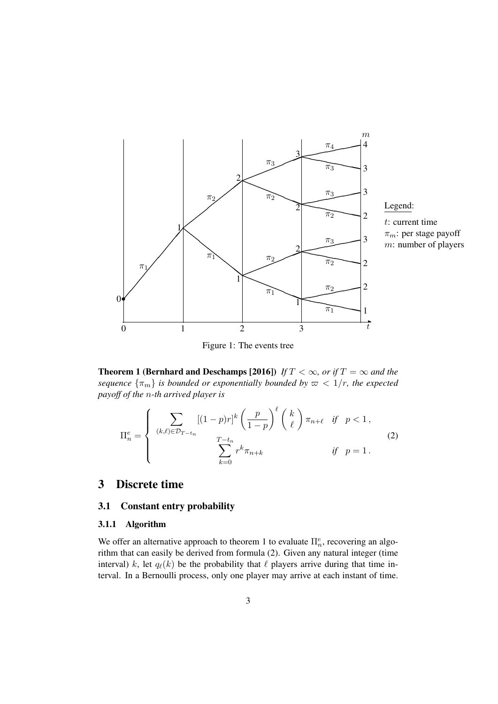

Figure 1: The events tree

**Theorem 1 (Bernhard and Deschamps [2016])** *If*  $T < \infty$ *, or if*  $T = \infty$  *and the sequence*  $\{\pi_m\}$  *is bounded or exponentially bounded by*  $\varpi < 1/r$ *, the expected payoff of the* n*-th arrived player is*

$$
\Pi_n^e = \begin{cases}\n\sum_{(k,\ell) \in \mathcal{D}_{T-t_n}} [(1-p)r]^k \left(\frac{p}{1-p}\right)^{\ell} \binom{k}{\ell} \pi_{n+\ell} & \text{if } p < 1, \\
\sum_{k=0}^{T-t_n} r^k \pi_{n+k} & \text{if } p = 1.\n\end{cases}
$$
\n(2)

# 3 Discrete time

#### 3.1 Constant entry probability

#### 3.1.1 Algorithm

We offer an alternative approach to theorem 1 to evaluate  $\Pi_n^e$ , recovering an algorithm that can easily be derived from formula (2). Given any natural integer (time interval) k, let  $q_{\ell}(k)$  be the probability that  $\ell$  players arrive during that time interval. In a Bernoulli process, only one player may arrive at each instant of time.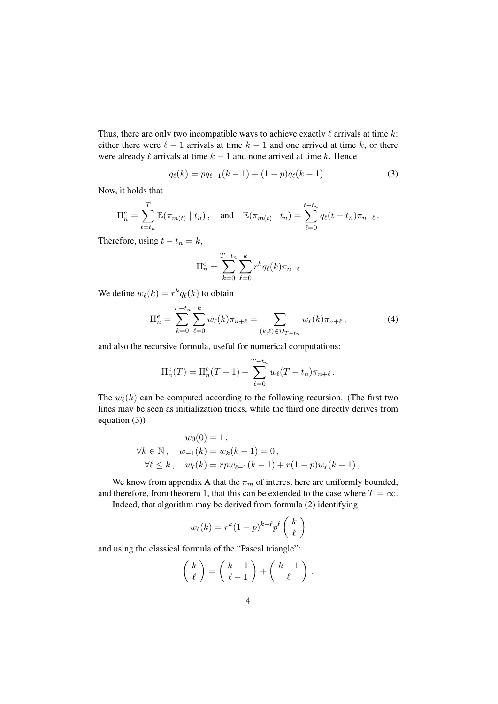Thus, there are only two incompatible ways to achieve exactly  $\ell$  arrivals at time k: either there were  $\ell - 1$  arrivals at time  $k - 1$  and one arrived at time k, or there were already  $\ell$  arrivals at time  $k - 1$  and none arrived at time k. Hence

$$
q_{\ell}(k) = pq_{\ell-1}(k-1) + (1-p)q_{\ell}(k-1).
$$
 (3)

Now, it holds that

$$
\Pi_n^e = \sum_{t=t_n}^T \mathbb{E}(\pi_{m(t)} \mid t_n), \text{ and } \mathbb{E}(\pi_{m(t)} \mid t_n) = \sum_{\ell=0}^{t-t_n} q_\ell(t - t_n) \pi_{n+\ell}.
$$

Therefore, using  $t - t_n = k$ ,

$$
\Pi_n^e = \sum_{k=0}^{T-t_n} \sum_{\ell=0}^k r^k q_\ell(k) \pi_{n+\ell}
$$

We define  $w_{\ell}(k) = r^k q_{\ell}(k)$  to obtain

$$
\Pi_n^e = \sum_{k=0}^{T-t_n} \sum_{\ell=0}^k w_\ell(k) \pi_{n+\ell} = \sum_{(k,\ell) \in \mathcal{D}_{T-t_n}} w_\ell(k) \pi_{n+\ell}, \tag{4}
$$

and also the recursive formula, useful for numerical computations:

$$
\Pi_n^e(T) = \Pi_n^e(T-1) + \sum_{\ell=0}^{T-t_n} w_{\ell}(T-t_n)\pi_{n+\ell}.
$$

The  $w_{\ell}(k)$  can be computed according to the following recursion. (The first two lines may be seen as initialization tricks, while the third one directly derives from equation (3))

$$
w_0(0) = 1,
$$
  
\n
$$
\forall k \in \mathbb{N}, \quad w_{-1}(k) = w_k(k-1) = 0,
$$
  
\n
$$
\forall \ell \le k, \quad w_{\ell}(k) = rpw_{\ell-1}(k-1) + r(1-p)w_{\ell}(k-1),
$$

We know from appendix A that the  $\pi_m$  of interest here are uniformly bounded, and therefore, from theorem 1, that this can be extended to the case where  $T = \infty$ .

Indeed, that algorithm may be derived from formula (2) identifying

$$
w_{\ell}(k) = r^{k}(1-p)^{k-\ell}p^{\ell}\left(\begin{array}{c}k\\ \ell\end{array}\right)
$$

and using the classical formula of the "Pascal triangle":

$$
\left(\begin{array}{c}k \\ \ell \end{array}\right) = \left(\begin{array}{c}k-1 \\ \ell-1 \end{array}\right) + \left(\begin{array}{c}k-1 \\ \ell \end{array}\right).
$$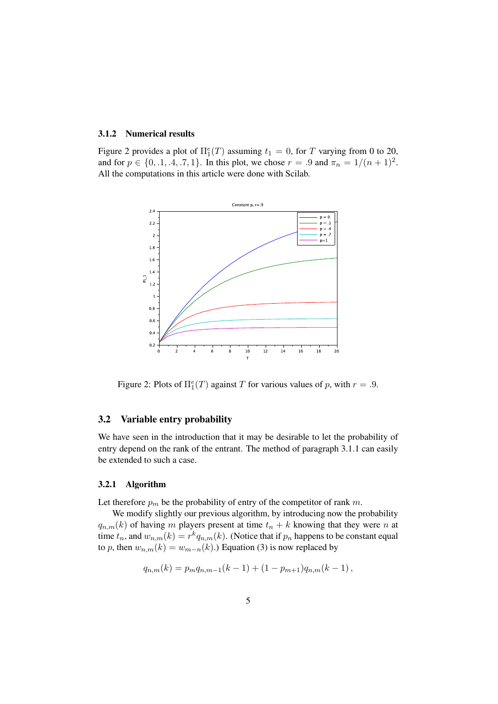#### 3.1.2 Numerical results

Figure 2 provides a plot of  $\Pi_1^e(T)$  assuming  $t_1 = 0$ , for T varying from 0 to 20, and for  $p \in \{0, 1, 4, .7, 1\}$ . In this plot, we chose  $r = .9$  and  $\pi_n = 1/(n + 1)^2$ . All the computations in this article were done with Scilab.



Figure 2: Plots of  $\Pi_1^e(T)$  against T for various values of p, with  $r = .9$ .

#### 3.2 Variable entry probability

We have seen in the introduction that it may be desirable to let the probability of entry depend on the rank of the entrant. The method of paragraph 3.1.1 can easily be extended to such a case.

#### 3.2.1 Algorithm

Let therefore  $p_m$  be the probability of entry of the competitor of rank m.

We modify slightly our previous algorithm, by introducing now the probability  $q_{n,m}(k)$  of having m players present at time  $t_n + k$  knowing that they were n at time  $t_n$ , and  $w_{n,m}(k) = r^k q_{n,m}(k)$ . (Notice that if  $p_n$  happens to be constant equal to p, then  $w_{n,m}(k) = w_{m-n}(k)$ .) Equation (3) is now replaced by

$$
q_{n,m}(k) = p_m q_{n,m-1}(k-1) + (1-p_{m+1})q_{n,m}(k-1),
$$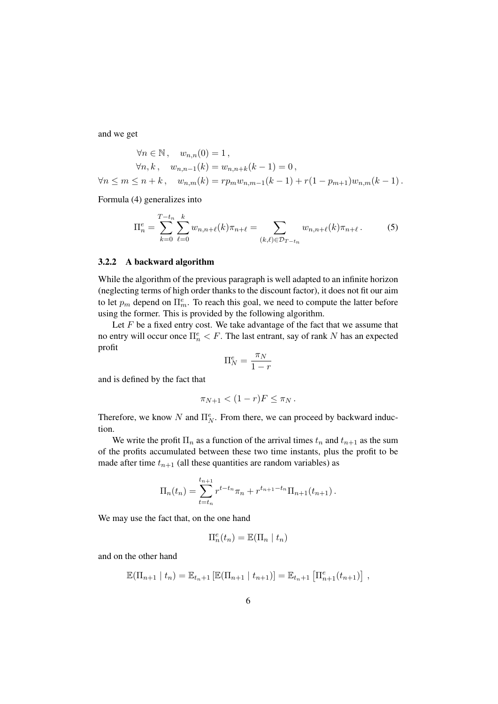and we get

$$
\forall n \in \mathbb{N}, \quad w_{n,n}(0) = 1,
$$
  
\n
$$
\forall n, k, \quad w_{n,n-1}(k) = w_{n,n+k}(k-1) = 0,
$$
  
\n
$$
\forall n \le m \le n+k, \quad w_{n,m}(k) = rp_m w_{n,m-1}(k-1) + r(1 - p_{m+1})w_{n,m}(k-1).
$$

Formula (4) generalizes into

$$
\Pi_n^e = \sum_{k=0}^{T-t_n} \sum_{\ell=0}^k w_{n,n+\ell}(k)\pi_{n+\ell} = \sum_{(k,\ell)\in \mathcal{D}_{T-t_n}} w_{n,n+\ell}(k)\pi_{n+\ell}.
$$
 (5)

#### 3.2.2 A backward algorithm

While the algorithm of the previous paragraph is well adapted to an infinite horizon (neglecting terms of high order thanks to the discount factor), it does not fit our aim to let  $p_m$  depend on  $\Pi_m^e$ . To reach this goal, we need to compute the latter before using the former. This is provided by the following algorithm.

Let  $F$  be a fixed entry cost. We take advantage of the fact that we assume that no entry will occur once  $\prod_{n=1}^e F$ . The last entrant, say of rank N has an expected profit

$$
\Pi_N^e = \frac{\pi_N}{1-r}
$$

and is defined by the fact that

$$
\pi_{N+1} < (1-r)F \leq \pi_N.
$$

Therefore, we know N and  $\Pi_N^e$ . From there, we can proceed by backward induction.

We write the profit  $\Pi_n$  as a function of the arrival times  $t_n$  and  $t_{n+1}$  as the sum of the profits accumulated between these two time instants, plus the profit to be made after time  $t_{n+1}$  (all these quantities are random variables) as

$$
\Pi_n(t_n) = \sum_{t=t_n}^{t_{n+1}} r^{t-t_n} \pi_n + r^{t_{n+1}-t_n} \Pi_{n+1}(t_{n+1}).
$$

We may use the fact that, on the one hand

$$
\Pi_n^e(t_n) = \mathbb{E}(\Pi_n \mid t_n)
$$

and on the other hand

$$
\mathbb{E}(\Pi_{n+1} | t_n) = \mathbb{E}_{t_n+1} [\mathbb{E}(\Pi_{n+1} | t_{n+1})] = \mathbb{E}_{t_n+1} [\Pi_{n+1}^e(t_{n+1})],
$$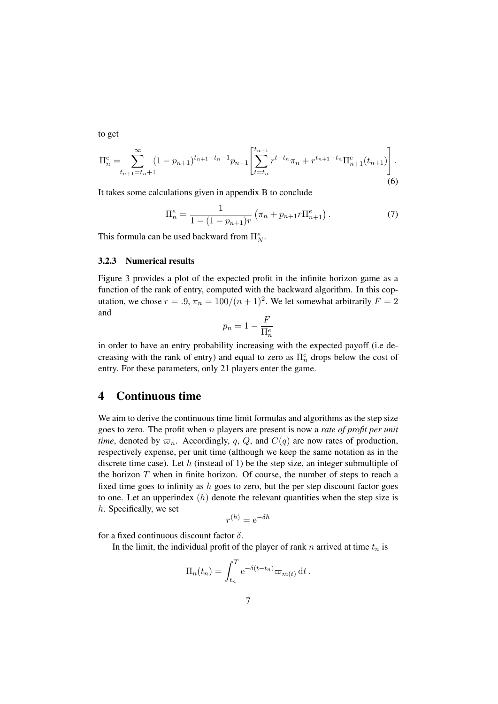to get

$$
\Pi_n^e = \sum_{t_{n+1}=t_n+1}^{\infty} (1 - p_{n+1})^{t_{n+1}-t_n-1} p_{n+1} \left[ \sum_{t=t_n}^{t_{n+1}} r^{t-t_n} \pi_n + r^{t_{n+1}-t_n} \Pi_{n+1}^e(t_{n+1}) \right].
$$
\n
$$
(6)
$$

It takes some calculations given in appendix B to conclude

$$
\Pi_n^e = \frac{1}{1 - (1 - p_{n+1})r} \left( \pi_n + p_{n+1} r \Pi_{n+1}^e \right).
$$
 (7)

This formula can be used backward from  $\Pi_N^e$ .

#### 3.2.3 Numerical results

Figure 3 provides a plot of the expected profit in the infinite horizon game as a function of the rank of entry, computed with the backward algorithm. In this coputation, we chose  $r = .9$ ,  $\pi_n = 100/(n+1)^2$ . We let somewhat arbitrarily  $F = 2$ and

$$
p_n = 1 - \frac{F}{\Pi_n^e}
$$

in order to have an entry probability increasing with the expected payoff (i.e decreasing with the rank of entry) and equal to zero as  $\Pi_n^e$  drops below the cost of entry. For these parameters, only 21 players enter the game.

## 4 Continuous time

We aim to derive the continuous time limit formulas and algorithms as the step size goes to zero. The profit when n players are present is now a *rate of profit per unit time*, denoted by  $\varpi_n$ . Accordingly, q, Q, and  $C(q)$  are now rates of production, respectively expense, per unit time (although we keep the same notation as in the discrete time case). Let  $h$  (instead of 1) be the step size, an integer submultiple of the horizon  $T$  when in finite horizon. Of course, the number of steps to reach a fixed time goes to infinity as  $h$  goes to zero, but the per step discount factor goes to one. Let an upperindex  $(h)$  denote the relevant quantities when the step size is h. Specifically, we set

$$
r^{(h)} = e^{-\delta h}
$$

for a fixed continuous discount factor  $\delta$ .

In the limit, the individual profit of the player of rank n arrived at time  $t_n$  is

$$
\Pi_n(t_n) = \int_{t_n}^T e^{-\delta(t - t_n)} \varpi_{m(t)} dt.
$$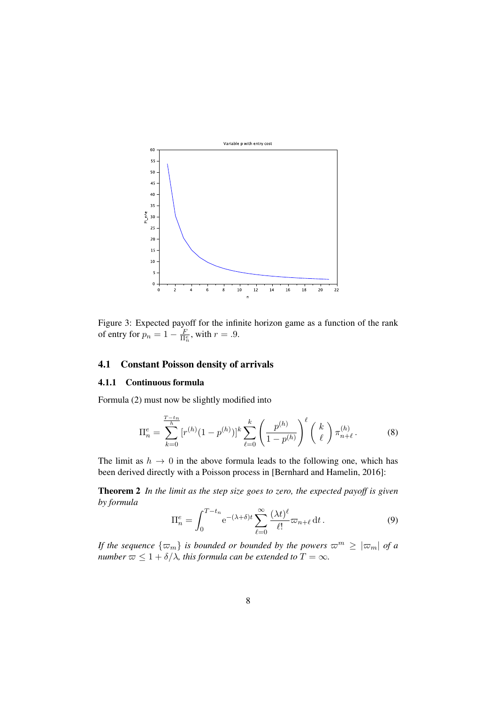

Figure 3: Expected payoff for the infinite horizon game as a function of the rank of entry for  $p_n = 1 - \frac{F}{\Pi_n^e}$ , with  $r = .9$ .

### 4.1 Constant Poisson density of arrivals

#### 4.1.1 Continuous formula

Formula (2) must now be slightly modified into

$$
\Pi_n^e = \sum_{k=0}^{\frac{T-t_n}{h}} [r^{(h)}(1-p^{(h)})]^k \sum_{\ell=0}^k \left(\frac{p^{(h)}}{1-p^{(h)}}\right)^{\ell} \binom{k}{\ell} \pi_{n+\ell}^{(h)}.
$$
 (8)

The limit as  $h \to 0$  in the above formula leads to the following one, which has been derived directly with a Poisson process in [Bernhard and Hamelin, 2016]:

Theorem 2 *In the limit as the step size goes to zero, the expected payoff is given by formula*

$$
\Pi_n^e = \int_0^{T - t_n} e^{-(\lambda + \delta)t} \sum_{\ell=0}^\infty \frac{(\lambda t)^\ell}{\ell!} \varpi_{n+\ell} dt.
$$
 (9)

*If the sequence*  $\{\varpi_m\}$  *is bounded or bounded by the powers*  $\varpi^m \geq |\varpi_m|$  *of a number*  $\infty \leq 1 + \delta/\lambda$ *, this formula can be extended to*  $T = \infty$ *.*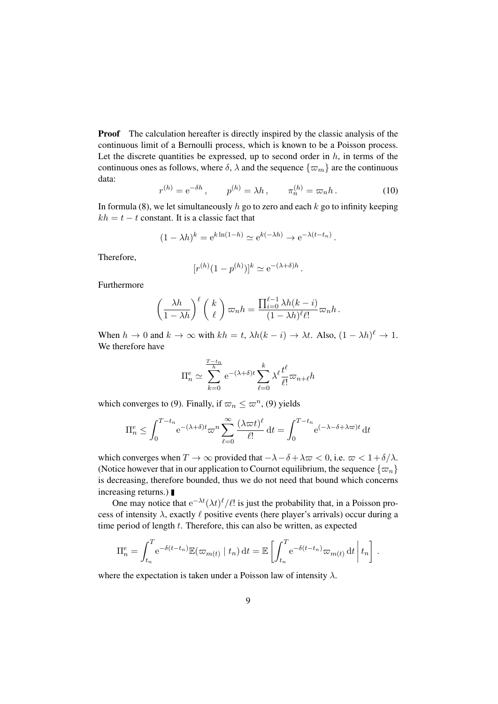**Proof** The calculation hereafter is directly inspired by the classic analysis of the continuous limit of a Bernoulli process, which is known to be a Poisson process. Let the discrete quantities be expressed, up to second order in  $h$ , in terms of the continuous ones as follows, where  $\delta$ ,  $\lambda$  and the sequence  $\{\varpi_m\}$  are the continuous data:

$$
r^{(h)} = e^{-\delta h}, \qquad p^{(h)} = \lambda h, \qquad \pi_n^{(h)} = \varpi_n h. \tag{10}
$$

In formula (8), we let simultaneously  $h$  go to zero and each  $k$  go to infinity keeping  $kh = t - t$  constant. It is a classic fact that

$$
(1 - \lambda h)^k = e^{k \ln(1 - h)} \simeq e^{k(-\lambda h)} \to e^{-\lambda (t - t_n)}.
$$

Therefore,

$$
[r^{(h)}(1-p^{(h)})]^k \simeq e^{-(\lambda+\delta)h}.
$$

Furthermore

$$
\left(\frac{\lambda h}{1-\lambda h}\right)^{\ell} \binom{k}{\ell} \varpi_n h = \frac{\prod_{i=0}^{\ell-1} \lambda h(k-i)}{(1-\lambda h)^{\ell} \ell!} \varpi_n h.
$$

When  $h \to 0$  and  $k \to \infty$  with  $kh = t$ ,  $\lambda h(k - i) \to \lambda t$ . Also,  $(1 - \lambda h)^{\ell} \to 1$ . We therefore have

$$
\Pi_n^e \simeq \sum_{k=0}^{\frac{T-t_n}{h}} e^{-(\lambda+\delta)t} \sum_{\ell=0}^k \lambda^{\ell} \frac{t^{\ell}}{\ell!} \varpi_{n+\ell} h
$$

which converges to (9). Finally, if  $\varpi_n \leq \varpi^n$ , (9) yields

$$
\Pi_n^e \le \int_0^{T-t_n} e^{-(\lambda+\delta)t} \varpi^n \sum_{\ell=0}^\infty \frac{(\lambda \varpi t)^\ell}{\ell!} dt = \int_0^{T-t_n} e^{(-\lambda-\delta+\lambda \varpi)t} dt
$$

which converges when  $T \to \infty$  provided that  $-\lambda - \delta + \lambda \varpi < 0$ , i.e.  $\varpi < 1 + \delta/\lambda$ . (Notice however that in our application to Cournot equilibrium, the sequence  $\{\varpi_n\}$ is decreasing, therefore bounded, thus we do not need that bound which concerns increasing returns.)

One may notice that  $e^{-\lambda t} (\lambda t)^\ell / \ell!$  is just the probability that, in a Poisson process of intensity  $\lambda$ , exactly  $\ell$  positive events (here player's arrivals) occur during a time period of length t. Therefore, this can also be written, as expected

$$
\Pi_n^e = \int_{t_n}^T e^{-\delta(t-t_n)} \mathbb{E}(\varpi_{m(t)} | t_n) dt = \mathbb{E} \left[ \int_{t_n}^T e^{-\delta(t-t_n)} \varpi_{m(t)} dt \, | t_n \right].
$$

where the expectation is taken under a Poisson law of intensity  $\lambda$ .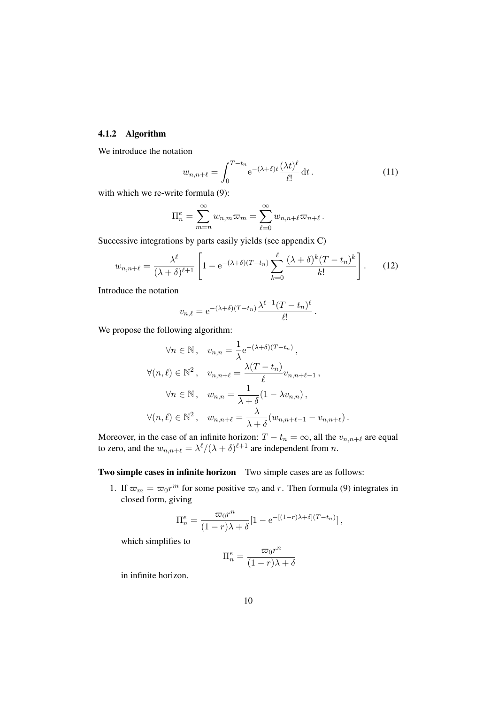#### 4.1.2 Algorithm

We introduce the notation

$$
w_{n,n+\ell} = \int_0^{T-t_n} e^{-(\lambda+\delta)t} \frac{(\lambda t)^{\ell}}{\ell!} dt.
$$
 (11)

with which we re-write formula (9):

$$
\Pi_n^e = \sum_{m=n}^{\infty} w_{n,m} \varpi_m = \sum_{\ell=0}^{\infty} w_{n,n+\ell} \varpi_{n+\ell}.
$$

Successive integrations by parts easily yields (see appendix C)

$$
w_{n,n+\ell} = \frac{\lambda^{\ell}}{(\lambda+\delta)^{\ell+1}} \left[ 1 - e^{-(\lambda+\delta)(T-t_n)} \sum_{k=0}^{\ell} \frac{(\lambda+\delta)^k (T-t_n)^k}{k!} \right].
$$
 (12)

Introduce the notation

$$
v_{n,\ell} = e^{-(\lambda+\delta)(T-t_n)} \frac{\lambda^{\ell-1}(T-t_n)^{\ell}}{\ell!}.
$$

We propose the following algorithm:

$$
\forall n \in \mathbb{N}, \quad v_{n,n} = \frac{1}{\lambda} e^{-(\lambda + \delta)(T - t_n)},
$$
  

$$
\forall (n, \ell) \in \mathbb{N}^2, \quad v_{n,n+\ell} = \frac{\lambda(T - t_n)}{\ell} v_{n,n+\ell-1},
$$
  

$$
\forall n \in \mathbb{N}, \quad w_{n,n} = \frac{1}{\lambda + \delta} (1 - \lambda v_{n,n}),
$$
  

$$
\forall (n, \ell) \in \mathbb{N}^2, \quad w_{n,n+\ell} = \frac{\lambda}{\lambda + \delta} (w_{n,n+\ell-1} - v_{n,n+\ell}).
$$

Moreover, in the case of an infinite horizon:  $T - t_n = \infty$ , all the  $v_{n,n+\ell}$  are equal to zero, and the  $w_{n,n+\ell} = \lambda^{\ell}/(\lambda + \delta)^{\ell+1}$  are independent from n.

#### Two simple cases in infinite horizon Two simple cases are as follows:

1. If  $\varpi_m = \varpi_0 r^m$  for some positive  $\varpi_0$  and r. Then formula (9) integrates in closed form, giving

$$
\Pi_n^e = \frac{\varpi_0 r^n}{(1-r)\lambda + \delta} [1 - e^{-[(1-r)\lambda + \delta](T-t_n)}],
$$

which simplifies to

$$
\Pi_n^e = \frac{\varpi_0 r^n}{(1 - r)\lambda + \delta}
$$

in infinite horizon.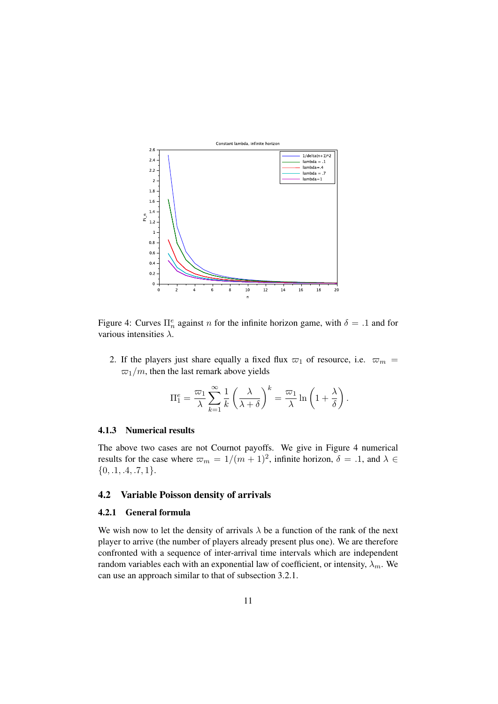

Figure 4: Curves  $\Pi_n^e$  against *n* for the infinite horizon game, with  $\delta = .1$  and for various intensities  $\lambda$ .

2. If the players just share equally a fixed flux  $\varpi_1$  of resource, i.e.  $\varpi_m$  =  $\varpi_1/m$ , then the last remark above yields

$$
\Pi_1^e = \frac{\varpi_1}{\lambda} \sum_{k=1}^{\infty} \frac{1}{k} \left( \frac{\lambda}{\lambda + \delta} \right)^k = \frac{\varpi_1}{\lambda} \ln \left( 1 + \frac{\lambda}{\delta} \right).
$$

#### 4.1.3 Numerical results

The above two cases are not Cournot payoffs. We give in Figure 4 numerical results for the case where  $\varpi_m = 1/(m + 1)^2$ , infinite horizon,  $\delta = .1$ , and  $\lambda \in$  $\{0, .1, .4, .7, 1\}.$ 

#### 4.2 Variable Poisson density of arrivals

#### 4.2.1 General formula

We wish now to let the density of arrivals  $\lambda$  be a function of the rank of the next player to arrive (the number of players already present plus one). We are therefore confronted with a sequence of inter-arrival time intervals which are independent random variables each with an exponential law of coefficient, or intensity,  $\lambda_m$ . We can use an approach similar to that of subsection 3.2.1.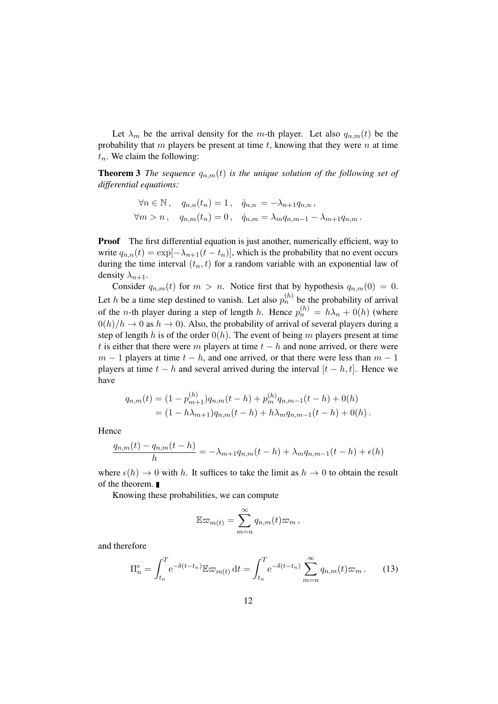Let  $\lambda_m$  be the arrival density for the m-th player. Let also  $q_{n,m}(t)$  be the probability that m players be present at time  $t$ , knowing that they were  $n$  at time  $t_n$ . We claim the following:

**Theorem 3** *The sequence*  $q_{n,m}(t)$  *is the unique solution of the following set of differential equations:*

$$
\forall n \in \mathbb{N}, \quad q_{n,n}(t_n) = 1, \quad \dot{q}_{n,n} = -\lambda_{n+1} q_{n,n}, \n\forall m > n, \quad q_{n,m}(t_n) = 0, \quad \dot{q}_{n,m} = \lambda_m q_{n,m-1} - \lambda_{m+1} q_{n,m}.
$$

Proof The first differential equation is just another, numerically efficient, way to write  $q_{n,n}(t) = \exp[-\lambda_{n+1}(t - t_n)]$ , which is the probability that no event occurs during the time interval  $(t_n, t)$  for a random variable with an exponential law of density  $\lambda_{n+1}$ .

Consider  $q_{n,m}(t)$  for  $m > n$ . Notice first that by hypothesis  $q_{n,m}(0) = 0$ . Let h be a time step destined to vanish. Let also  $p_n^{(h)}$  be the probability of arrival of the *n*-th player during a step of length *h*. Hence  $p_n^{(h)} = h\lambda_n + O(h)$  (where  $0(h)/h \to 0$  as  $h \to 0$ ). Also, the probability of arrival of several players during a step of length h is of the order  $O(h)$ . The event of being m players present at time t is either that there were m players at time  $t - h$  and none arrived, or there were  $m - 1$  players at time  $t - h$ , and one arrived, or that there were less than  $m - 1$ players at time  $t - h$  and several arrived during the interval  $[t - h, t]$ . Hence we have

$$
q_{n,m}(t) = (1 - p_{m+1}^{(h)})q_{n,m}(t-h) + p_m^{(h)}q_{n,m-1}(t-h) + 0(h)
$$
  
=  $(1 - h\lambda_{m+1})q_{n,m}(t-h) + h\lambda_m q_{n,m-1}(t-h) + 0(h).$ 

Hence

$$
\frac{q_{n,m}(t) - q_{n,m}(t-h)}{h} = -\lambda_{m+1}q_{n,m}(t-h) + \lambda_m q_{n,m-1}(t-h) + \epsilon(h)
$$

where  $\epsilon(h) \to 0$  with h. It suffices to take the limit as  $h \to 0$  to obtain the result of the theorem.

Knowing these probabilities, we can compute

$$
\mathbb{E}\varpi_{m(t)}=\sum_{m=n}^{\infty}q_{n,m}(t)\varpi_m,
$$

and therefore

$$
\Pi_n^e = \int_{t_n}^T e^{-\delta(t - t_n)} \mathbb{E} \varpi_{m(t)} dt = \int_{t_n}^T e^{-\delta(t - t_n)} \sum_{m=n}^\infty q_{n,m}(t) \varpi_m.
$$
 (13)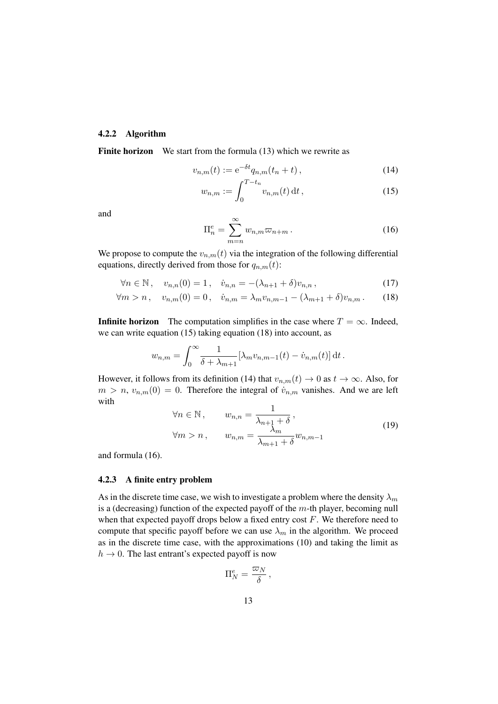#### 4.2.2 Algorithm

Finite horizon We start from the formula (13) which we rewrite as

$$
v_{n,m}(t) := e^{-\delta t} q_{n,m}(t_n + t), \qquad (14)
$$

$$
w_{n,m} := \int_0^{T-t_n} v_{n,m}(t) dt,
$$
\n(15)

and

$$
\Pi_n^e = \sum_{m=n}^{\infty} w_{n,m} \varpi_{n+m} . \tag{16}
$$

We propose to compute the  $v_{n,m}(t)$  via the integration of the following differential equations, directly derived from those for  $q_{n,m}(t)$ :

$$
\forall n \in \mathbb{N}, \quad v_{n,n}(0) = 1, \quad \dot{v}_{n,n} = -(\lambda_{n+1} + \delta)v_{n,n}, \tag{17}
$$

$$
\forall m > n, \quad v_{n,m}(0) = 0, \quad \dot{v}_{n,m} = \lambda_m v_{n,m-1} - (\lambda_{m+1} + \delta)v_{n,m}. \tag{18}
$$

**Infinite horizon** The computation simplifies in the case where  $T = \infty$ . Indeed, we can write equation (15) taking equation (18) into account, as

$$
w_{n,m} = \int_0^\infty \frac{1}{\delta + \lambda_{m+1}} [\lambda_m v_{n,m-1}(t) - \dot{v}_{n,m}(t)] dt.
$$

However, it follows from its definition (14) that  $v_{n,m}(t) \to 0$  as  $t \to \infty$ . Also, for  $m > n$ ,  $v_{n,m}(0) = 0$ . Therefore the integral of  $\dot{v}_{n,m}$  vanishes. And we are left with

$$
\forall n \in \mathbb{N}, \qquad w_{n,n} = \frac{1}{\lambda_{n+1} + \delta},
$$
  

$$
\forall m > n, \qquad w_{n,m} = \frac{\lambda_m}{\lambda_{m+1} + \delta} w_{n,m-1}
$$
 (19)

and formula (16).

#### 4.2.3 A finite entry problem

As in the discrete time case, we wish to investigate a problem where the density  $\lambda_m$ is a (decreasing) function of the expected payoff of the  $m$ -th player, becoming null when that expected payoff drops below a fixed entry cost  $F$ . We therefore need to compute that specific payoff before we can use  $\lambda_m$  in the algorithm. We proceed as in the discrete time case, with the approximations (10) and taking the limit as  $h \to 0$ . The last entrant's expected payoff is now

$$
\Pi_N^e = \frac{\varpi_N}{\delta} \,,
$$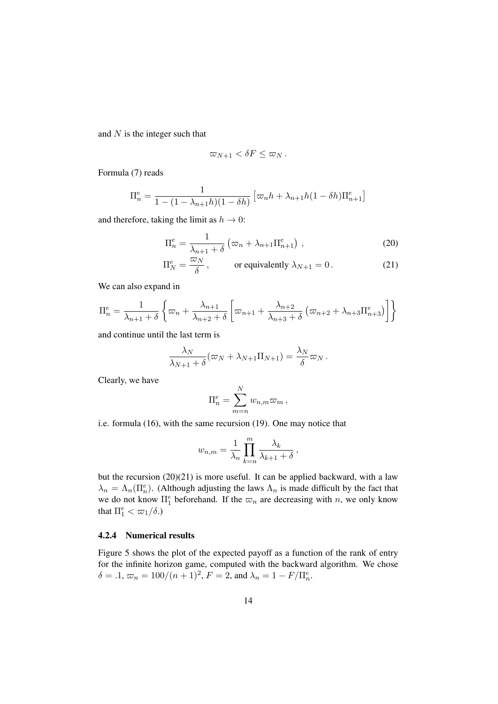and  $N$  is the integer such that

$$
\varpi_{N+1} < \delta F \leq \varpi_N \, .
$$

Formula (7) reads

$$
\Pi_n^e = \frac{1}{1 - (1 - \lambda_{n+1}h)(1 - \delta h)} \left[ \varpi_n h + \lambda_{n+1}h(1 - \delta h)\Pi_{n+1}^e \right]
$$

and therefore, taking the limit as  $h \to 0$ :

$$
\Pi_n^e = \frac{1}{\lambda_{n+1} + \delta} \left( \varpi_n + \lambda_{n+1} \Pi_{n+1}^e \right) , \qquad (20)
$$

$$
\Pi_N^e = \frac{\varpi_N}{\delta}, \qquad \text{or equivalently } \lambda_{N+1} = 0. \tag{21}
$$

We can also expand in

$$
\Pi_n^e = \frac{1}{\lambda_{n+1} + \delta} \left\{ \varpi_n + \frac{\lambda_{n+1}}{\lambda_{n+2} + \delta} \left[ \varpi_{n+1} + \frac{\lambda_{n+2}}{\lambda_{n+3} + \delta} \left( \varpi_{n+2} + \lambda_{n+3} \Pi_{n+3}^e \right) \right] \right\}
$$

and continue until the last term is

$$
\frac{\lambda_N}{\lambda_{N+1}+\delta}(\varpi_N+\lambda_{N+1}\Pi_{N+1})=\frac{\lambda_N}{\delta}\varpi_N.
$$

Clearly, we have

$$
\Pi_n^e = \sum_{m=n}^N w_{n,m} \varpi_m \,,
$$

i.e. formula (16), with the same recursion (19). One may notice that

$$
w_{n,m} = \frac{1}{\lambda_n} \prod_{k=n}^m \frac{\lambda_k}{\lambda_{k+1} + \delta},
$$

but the recursion (20)(21) is more useful. It can be applied backward, with a law  $\lambda_n = \Lambda_n(\Pi_n^e)$ . (Although adjusting the laws  $\Lambda_n$  is made difficult by the fact that we do not know  $\Pi_1^e$  beforehand. If the  $\varpi_n$  are decreasing with n, we only know that  $\Pi_1^e < \frac{\varpi_1}{\delta}$ .

#### 4.2.4 Numerical results

Figure 5 shows the plot of the expected payoff as a function of the rank of entry for the infinite horizon game, computed with the backward algorithm. We chose  $\delta = .1, \, \varpi_n = 100/(n+1)^2, \, F = 2, \, \text{and} \, \lambda_n = 1 - F/\Pi_n^e.$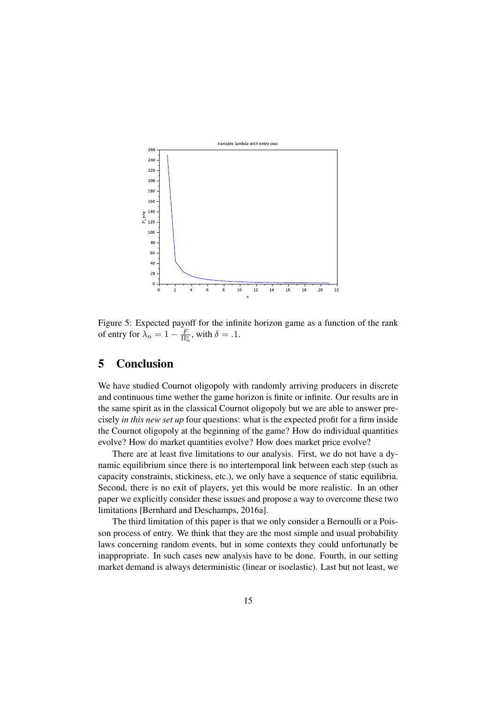

Figure 5: Expected payoff for the infinite horizon game as a function of the rank of entry for  $\lambda_n = 1 - \frac{F}{\Pi_n^e}$ , with  $\delta = .1$ .

# 5 Conclusion

We have studied Cournot oligopoly with randomly arriving producers in discrete and continuous time wether the game horizon is finite or infinite. Our results are in the same spirit as in the classical Cournot oligopoly but we are able to answer precisely *in this new set up* four questions: what is the expected profit for a firm inside the Cournot oligopoly at the beginning of the game? How do individual quantities evolve? How do market quantities evolve? How does market price evolve?

There are at least five limitations to our analysis. First, we do not have a dynamic equilibrium since there is no intertemporal link between each step (such as capacity constraints, stickiness, etc.), we only have a sequence of static equilibria. Second, there is no exit of players, yet this would be more realistic. In an other paper we explicitly consider these issues and propose a way to overcome these two limitations [Bernhard and Deschamps, 2016a].

The third limitation of this paper is that we only consider a Bernoulli or a Poisson process of entry. We think that they are the most simple and usual probability laws concerning random events, but in some contexts they could unfortunatly be inappropriate. In such cases new analysis have to be done. Fourth, in our setting market demand is always deterministic (linear or isoelastic). Last but not least, we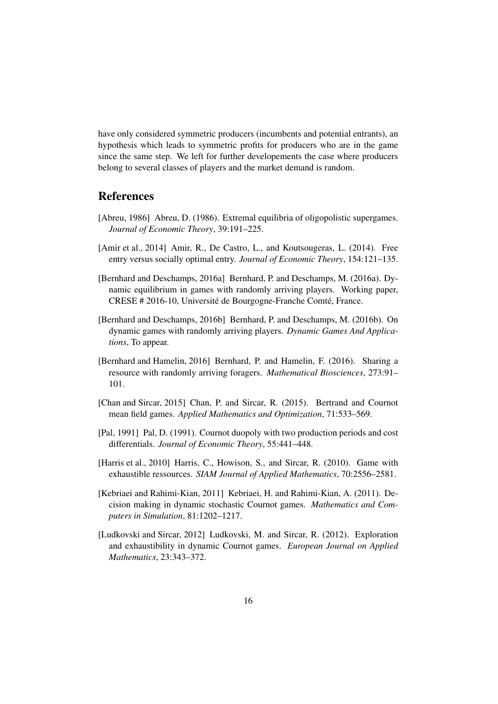have only considered symmetric producers (incumbents and potential entrants), an hypothesis which leads to symmetric profits for producers who are in the game since the same step. We left for further developements the case where producers belong to several classes of players and the market demand is random.

## References

- [Abreu, 1986] Abreu, D. (1986). Extremal equilibria of oligopolistic supergames. *Journal of Economic Theory*, 39:191–225.
- [Amir et al., 2014] Amir, R., De Castro, L., and Koutsougeras, L. (2014). Free entry versus socially optimal entry. *Journal of Economic Theory*, 154:121–135.
- [Bernhard and Deschamps, 2016a] Bernhard, P. and Deschamps, M. (2016a). Dynamic equilibrium in games with randomly arriving players. Working paper, CRESE # 2016-10, Université de Bourgogne-Franche Comté, France.
- [Bernhard and Deschamps, 2016b] Bernhard, P. and Deschamps, M. (2016b). On dynamic games with randomly arriving players. *Dynamic Games And Applications*, To appear.
- [Bernhard and Hamelin, 2016] Bernhard, P. and Hamelin, F. (2016). Sharing a resource with randomly arriving foragers. *Mathematical Biosciences*, 273:91– 101.
- [Chan and Sircar, 2015] Chan, P. and Sircar, R. (2015). Bertrand and Cournot mean field games. *Applied Mathematics and Optimization*, 71:533–569.
- [Pal, 1991] Pal, D. (1991). Cournot duopoly with two production periods and cost differentials. *Journal of Economic Theory*, 55:441–448.
- [Harris et al., 2010] Harris, C., Howison, S., and Sircar, R. (2010). Game with exhaustible ressources. *SIAM Journal of Applied Mathematics*, 70:2556–2581.
- [Kebriaei and Rahimi-Kian, 2011] Kebriaei, H. and Rahimi-Kian, A. (2011). Decision making in dynamic stochastic Cournot games. *Mathematics and Computers in Simulation*, 81:1202–1217.
- [Ludkovski and Sircar, 2012] Ludkovski, M. and Sircar, R. (2012). Exploration and exhaustibility in dynamic Cournot games. *European Journal on Applied Mathematics*, 23:343–372.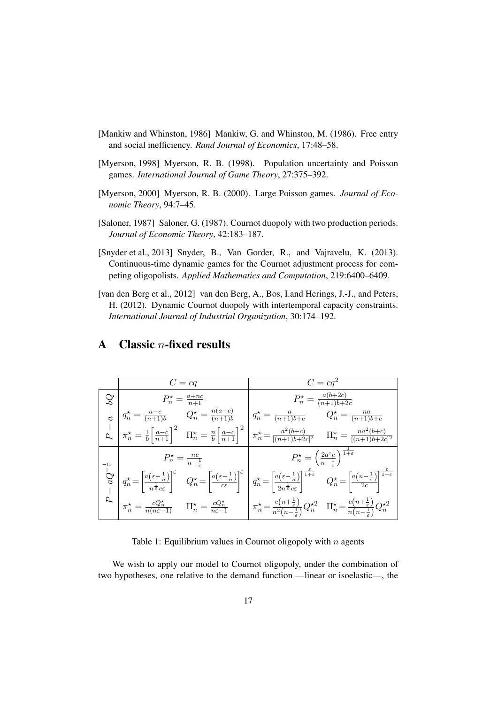- [Mankiw and Whinston, 1986] Mankiw, G. and Whinston, M. (1986). Free entry and social inefficiency. *Rand Journal of Economics*, 17:48–58.
- [Myerson, 1998] Myerson, R. B. (1998). Population uncertainty and Poisson games. *International Journal of Game Theory*, 27:375–392.
- [Myerson, 2000] Myerson, R. B. (2000). Large Poisson games. *Journal of Economic Theory*, 94:7–45.
- [Saloner, 1987] Saloner, G. (1987). Cournot duopoly with two production periods. *Journal of Economic Theory*, 42:183–187.
- [Snyder et al., 2013] Snyder, B., Van Gorder, R., and Vajravelu, K. (2013). Continuous-time dynamic games for the Cournot adjustment process for competing oligopolists. *Applied Mathematics and Computation*, 219:6400–6409.
- [van den Berg et al., 2012] van den Berg, A., Bos, I.and Herings, J.-J., and Peters, H. (2012). Dynamic Cournot duopoly with intertemporal capacity constraints. *International Journal of Industrial Organization*, 30:174–192.

| $C = ca$                                                                                                               | $C = ca^2$                                                                                                                                                                                                                                                                                                                                                                                                                                                                                                          |
|------------------------------------------------------------------------------------------------------------------------|---------------------------------------------------------------------------------------------------------------------------------------------------------------------------------------------------------------------------------------------------------------------------------------------------------------------------------------------------------------------------------------------------------------------------------------------------------------------------------------------------------------------|
|                                                                                                                        | $P_n^* = \frac{a(b+2c)}{(n+1)b+2c}$                                                                                                                                                                                                                                                                                                                                                                                                                                                                                 |
|                                                                                                                        |                                                                                                                                                                                                                                                                                                                                                                                                                                                                                                                     |
|                                                                                                                        | $\begin{array}{c c c c c} \hline \mathbb{Q} & P_n^\star = \frac{a+nc}{n+1} & P_n^\star = \frac{a(b+2c)}{(n+1)b+2c} \\ \hline \vdash & q_n^\star = \frac{a-c}{(n+1)b} & Q_n^\star = \frac{n(a-c)}{(n+1)b} & q_n^\star = \frac{a}{(n+1)b+c} & Q_n^\star = \frac{na}{(n+1)b+c} \\ \hline \mathbb{Q} & \pi_n^\star = \frac{1}{b}\bigg[\frac{a-c}{n+1}\bigg]^2 & \Pi_n^\star = \frac{n}{b}\bigg[\frac{a-c}{n+1}\bigg]^2 & \pi_n^\star =$                                                                                 |
| $P_n^* = \frac{n c}{n-1}$                                                                                              | $P_n^{\star} = \left(\frac{2a^{\varepsilon}c}{n-\frac{1}{n}}\right)^{\frac{1}{1+\varepsilon}}$                                                                                                                                                                                                                                                                                                                                                                                                                      |
|                                                                                                                        | $\begin{bmatrix} 1 \ \zeta \\ \zeta \\ \zeta \end{bmatrix} q_n^{\star} = \left[ \frac{a(\varepsilon - \frac{1}{n})}{n^{\frac{1}{\varepsilon}} c \varepsilon} \right]^{\varepsilon} \quad Q_n^{\star} = \left[ \frac{a(\varepsilon - \frac{1}{n})}{c \varepsilon} \right]^{\varepsilon} \quad q_n^{\star} = \left[ \frac{a(\varepsilon - \frac{1}{n})}{2n^{\frac{1}{\varepsilon}} c \varepsilon} \right]^{\frac{\varepsilon}{1 + \varepsilon}} \quad Q_n^{\star} = \left[ \frac{a(n - \frac{1}{\varepsilon})}{2c} \$ |
| $\boxed{\pi_n^\star = \frac{c Q_n^\star}{n(n \varepsilon - 1)}}$ $\Pi_n^\star = \frac{c Q_n^\star}{n \varepsilon - 1}$ | $\begin{cases} \pi_n^{\star} = \frac{c\left(n+\frac{1}{\varepsilon}\right)}{n^2\left(n-\frac{1}{\varepsilon}\right)}Q_n^{\star 2} & \Pi_n^{\star} = \frac{c\left(n+\frac{1}{\varepsilon}\right)}{n\left(n-\frac{1}{\varepsilon}\right)}Q_n^{\star 2} \end{cases}$                                                                                                                                                                                                                                                   |

# A Classic  $n$ -fixed results

Table 1: Equilibrium values in Cournot oligopoly with  $n$  agents

We wish to apply our model to Cournot oligopoly, under the combination of two hypotheses, one relative to the demand function —linear or isoelastic—, the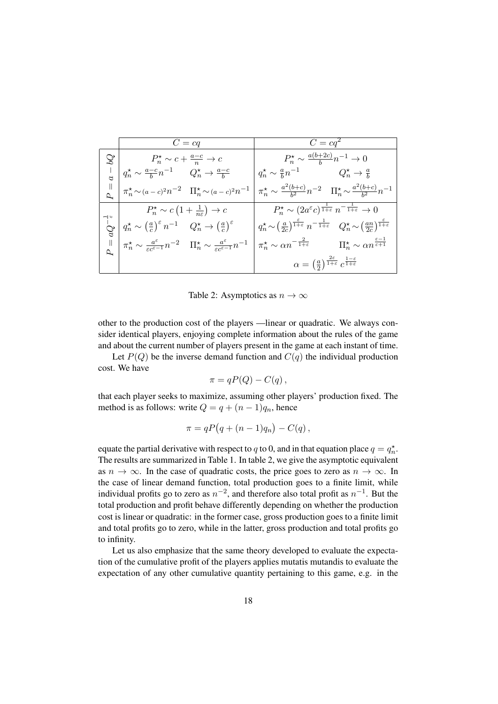|     | $C = cq$                                                                                                                                                                                                                   | $C = cq^2$                                                                                                                                                                     |
|-----|----------------------------------------------------------------------------------------------------------------------------------------------------------------------------------------------------------------------------|--------------------------------------------------------------------------------------------------------------------------------------------------------------------------------|
|     | $\mathbb{Q}$ $\left  \right. \qquad \qquad P_n^{\star} \sim c + \frac{a-c}{n} \to c$                                                                                                                                       | $P_n^{\star} \sim \frac{a(b+2c)}{h} n^{-1} \to 0$                                                                                                                              |
|     | $q_n^\star \sim \frac{a-c}{b} n^{-1}$<br>$Q_n^\star \to \frac{a-c}{b}$                                                                                                                                                     | $q_n^{\star} \sim \frac{a}{b} n^{-1}$ $Q_n^{\star} \to \frac{a}{b}$                                                                                                            |
|     | $\begin{array}{c}\n\parallel \\ \uparrow \lambda\n\end{array}\n\left \begin{array}{cc}\n\pi_n^{\star} \sim (a-c)^2 n^{-2} & \Pi_n^{\star} \sim (a-c)^2 n^{-1}\n\end{array}\right $                                         | $\pi_n^{\star} \sim \frac{a^2(b+c)}{b^2} n^{-2} \quad \Pi_n^{\star} \sim \frac{a^2(b+c)}{b^2} n^{-1}$                                                                          |
|     | $P_n^* \sim c\left(1+\frac{1}{n\varepsilon}\right) \to c$                                                                                                                                                                  | $P_n^{\star} \sim (2a^{\varepsilon}c)^{\frac{1}{1+\varepsilon}} n^{-\frac{1}{1+\varepsilon}} \to 0$                                                                            |
| °C, | $q_n^\star \sim \left(\tfrac{a}{c}\right)^\varepsilon n^{-1} \quad \, Q_n^\star \to \left(\tfrac{a}{c}\right)^\varepsilon$                                                                                                 | $q_n^{\star} \sim \left(\frac{a}{2c}\right)^{\frac{\epsilon}{1+\epsilon}} n^{-\frac{1}{1+\epsilon}} Q_n^{\star} \sim \left(\frac{an}{2c}\right)^{\frac{\epsilon}{1+\epsilon}}$ |
|     | $\underset{\Delta_{\bullet}}{\parallel}\ \bigg\ \ \pi_n^{\star} \sim \tfrac{a^{\varepsilon}}{\varepsilon c^{\varepsilon-1}} n^{-2} \quad \Pi_n^{\star} \sim \tfrac{a^{\varepsilon}}{\varepsilon c^{\varepsilon-1}} n^{-1}$ | $\pi_n^{\star} \sim \alpha n^{-\frac{2}{1+\varepsilon}}$ $\Pi_n^{\star} \sim \alpha n^{\frac{\varepsilon-1}{\varepsilon+1}}$                                                   |
|     |                                                                                                                                                                                                                            | $\alpha = \left(\frac{a}{2}\right)^{\frac{2\varepsilon}{1+\varepsilon}} c^{\frac{1-\varepsilon}{1+\varepsilon}}$                                                               |

Table 2: Asymptotics as  $n \to \infty$ 

other to the production cost of the players —linear or quadratic. We always consider identical players, enjoying complete information about the rules of the game and about the current number of players present in the game at each instant of time.

Let  $P(Q)$  be the inverse demand function and  $C(q)$  the individual production cost. We have

$$
\pi = qP(Q) - C(q),
$$

that each player seeks to maximize, assuming other players' production fixed. The method is as follows: write  $Q = q + (n - 1)q_n$ , hence

$$
\pi = qP(q + (n-1)q_n) - C(q),
$$

equate the partial derivative with respect to q to 0, and in that equation place  $q = q_n^*$ . The results are summarized in Table 1. In table 2, we give the asymptotic equivalent as  $n \to \infty$ . In the case of quadratic costs, the price goes to zero as  $n \to \infty$ . In the case of linear demand function, total production goes to a finite limit, while individual profits go to zero as  $n^{-2}$ , and therefore also total profit as  $n^{-1}$ . But the total production and profit behave differently depending on whether the production cost is linear or quadratic: in the former case, gross production goes to a finite limit and total profits go to zero, while in the latter, gross production and total profits go to infinity.

Let us also emphasize that the same theory developed to evaluate the expectation of the cumulative profit of the players applies mutatis mutandis to evaluate the expectation of any other cumulative quantity pertaining to this game, e.g. in the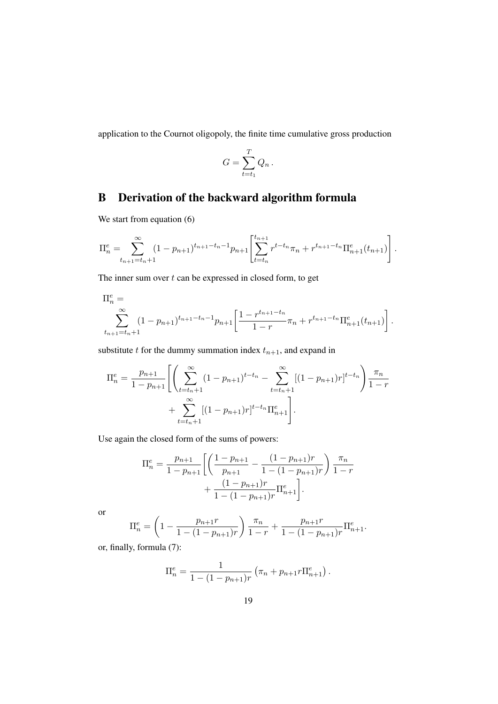application to the Cournot oligopoly, the finite time cumulative gross production

$$
G = \sum_{t=t_1}^{T} Q_n.
$$

# B Derivation of the backward algorithm formula

We start from equation  $(6)$ 

$$
\Pi_n^e = \sum_{t_{n+1}=t_n+1}^{\infty} (1 - p_{n+1})^{t_{n+1}-t_n-1} p_{n+1} \left[ \sum_{t=t_n}^{t_{n+1}} r^{t-t_n} \pi_n + r^{t_{n+1}-t_n} \Pi_{n+1}^e(t_{n+1}) \right].
$$

The inner sum over  $t$  can be expressed in closed form, to get

$$
\Pi_n^e = \sum_{t_{n+1}=t_n+1}^{\infty} (1-p_{n+1})^{t_{n+1}-t_n-1} p_{n+1} \left[ \frac{1-r^{t_{n+1}-t_n}}{1-r} \pi_n + r^{t_{n+1}-t_n} \Pi_{n+1}^e(t_{n+1}) \right].
$$

substitute  $t$  for the dummy summation index  $t_{n+1}$ , and expand in

$$
\Pi_n^e = \frac{p_{n+1}}{1 - p_{n+1}} \left[ \left( \sum_{t=t_n+1}^{\infty} (1 - p_{n+1})^{t-t_n} - \sum_{t=t_n+1}^{\infty} [(1 - p_{n+1})r]^{t-t_n} \right) \frac{\pi_n}{1 - r} + \sum_{t=t_n+1}^{\infty} [(1 - p_{n+1})r]^{t-t_n} \Pi_{n+1}^e \right].
$$

Use again the closed form of the sums of powers:

$$
\Pi_n^e = \frac{p_{n+1}}{1 - p_{n+1}} \left[ \left( \frac{1 - p_{n+1}}{p_{n+1}} - \frac{(1 - p_{n+1})r}{1 - (1 - p_{n+1})r} \right) \frac{\pi_n}{1 - r} + \frac{(1 - p_{n+1})r}{1 - (1 - p_{n+1})r} \Pi_{n+1}^e \right].
$$

or

$$
\Pi_n^e = \left(1 - \frac{p_{n+1}r}{1 - (1 - p_{n+1})r}\right) \frac{\pi_n}{1 - r} + \frac{p_{n+1}r}{1 - (1 - p_{n+1})r} \Pi_{n+1}^e.
$$

or, finally, formula (7):

$$
\Pi_n^e = \frac{1}{1 - (1 - p_{n+1})r} \left( \pi_n + p_{n+1}r \Pi_{n+1}^e \right).
$$